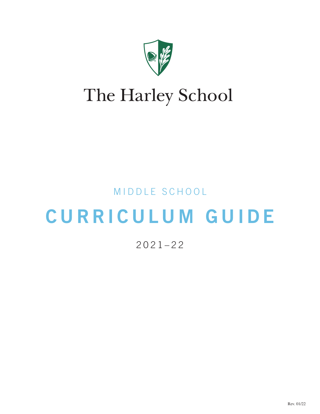

# The Harley School

# MIDDLE SCHOOL

# CURRICULUM GUIDE

# 2021–22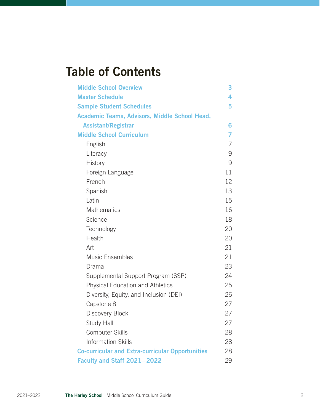# Table of Contents

| <b>Middle School Overview</b>                           | 3              |
|---------------------------------------------------------|----------------|
| <b>Master Schedule</b>                                  | 4              |
| <b>Sample Student Schedules</b>                         | 5              |
| Academic Teams, Advisors, Middle School Head,           |                |
| <b>Assistant/Registrar</b>                              | 6              |
| <b>Middle School Curriculum</b>                         | 7              |
| English                                                 | $\overline{7}$ |
| Literacy                                                | 9              |
| <b>History</b>                                          | 9              |
| Foreign Language                                        | 11             |
| French                                                  | 12             |
| Spanish                                                 | 13             |
| Latin                                                   | 15             |
| <b>Mathematics</b>                                      | 16             |
| Science                                                 | 18             |
| Technology                                              | 20             |
| Health                                                  | 20             |
| Art                                                     | 21             |
| <b>Music Ensembles</b>                                  | 21             |
| Drama                                                   | 23             |
| Supplemental Support Program (SSP)                      | 24             |
| <b>Physical Education and Athletics</b>                 | 25             |
| Diversity, Equity, and Inclusion (DEI)                  | 26             |
| Capstone 8                                              | 27             |
| Discovery Block                                         | 27             |
| <b>Study Hall</b>                                       | 27             |
| <b>Computer Skills</b>                                  | 28             |
| <b>Information Skills</b>                               | 28             |
| <b>Co-curricular and Extra-curricular Opportunities</b> | 28             |
| Faculty and Staff 2021-2022                             | 29             |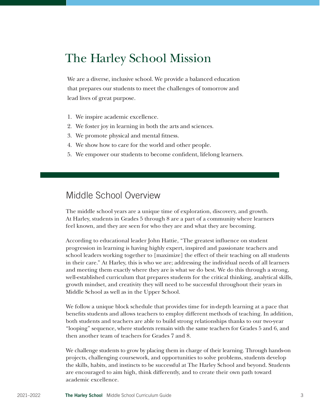# The Harley School Mission

We are a diverse, inclusive school. We provide a balanced education that prepares our students to meet the challenges of tomorrow and lead lives of great purpose.

- 1. We inspire academic excellence.
- 2. We foster joy in learning in both the arts and sciences.
- 3. We promote physical and mental fitness.
- 4. We show how to care for the world and other people.
- 5. We empower our students to become confident, lifelong learners.

# Middle School Overview

The middle school years are a unique time of exploration, discovery, and growth. At Harley, students in Grades 5 through 8 are a part of a community where learners feel known, and they are seen for who they are and what they are becoming.

According to educational leader John Hattie, "The greatest influence on student progression in learning is having highly expert, inspired and passionate teachers and school leaders working together to [maximize] the effect of their teaching on all students in their care." At Harley, this is who we are; addressing the individual needs of all learners and meeting them exactly where they are is what we do best. We do this through a strong, well-established curriculum that prepares students for the critical thinking, analytical skills, growth mindset, and creativity they will need to be successful throughout their years in Middle School as well as in the Upper School.

We follow a unique block schedule that provides time for in-depth learning at a pace that benefits students and allows teachers to employ different methods of teaching. In addition, both students and teachers are able to build strong relationships thanks to our two-year "looping" sequence, where students remain with the same teachers for Grades 5 and 6, and then another team of teachers for Grades 7 and 8.

We challenge students to grow by placing them in charge of their learning. Through hands-on projects, challenging coursework, and opportunities to solve problems, students develop the skills, habits, and instincts to be successful at The Harley School and beyond. Students are encouraged to aim high, think differently, and to create their own path toward academic excellence.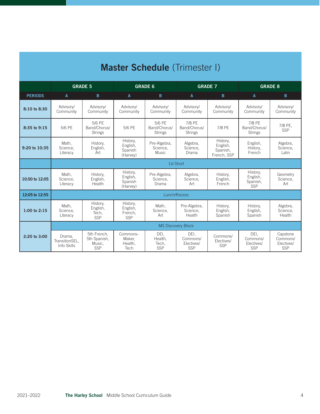| <b>Master Schedule</b> (Trimester I) |                                                                      |                                              |                                             |                                          |                                          |                                                 |                                              |                                           |
|--------------------------------------|----------------------------------------------------------------------|----------------------------------------------|---------------------------------------------|------------------------------------------|------------------------------------------|-------------------------------------------------|----------------------------------------------|-------------------------------------------|
|                                      | <b>GRADE 5</b><br><b>GRADE 6</b><br><b>GRADE 7</b><br><b>GRADE 8</b> |                                              |                                             |                                          |                                          |                                                 |                                              |                                           |
| <b>PERIODS</b>                       | A                                                                    | B                                            | A                                           | B                                        | $\mathsf{A}$                             | B                                               | $\mathbf{A}$                                 | B                                         |
| 8:10 to 8:30                         | Advisory/<br>Community                                               | Advisory/<br>Community                       | Advisory/<br>Community                      | Advisory/<br>Community                   | Advisory/<br>Community                   | Advisory/<br>Community                          | Advisory/<br>Community                       | Advisory/<br>Community                    |
| 8:35 to 9:15                         | 5/6 PE                                                               | 5/6 PE<br>Band/Chorus/<br><b>Strings</b>     | 5/6 PE                                      | 5/6 PE<br>Band/Chorus/<br><b>Strings</b> | 7/8 PE<br>Band/Chorus/<br><b>Strings</b> | 7/8 PE                                          | 7/8 PE<br>Band/Chorus/<br><b>Strings</b>     | 7/8 PE,<br><b>SSP</b>                     |
| 9:20 to 10:35                        | Math.<br>Science,<br>Literacy                                        | History,<br>English,<br>Art                  | History,<br>English,<br>Spanish<br>(Harvey) | Pre-Algebra,<br>Science.<br><b>Music</b> | Algebra,<br>Science.<br>Drama            | History,<br>English,<br>Spanish,<br>French, SSP | English,<br>History,<br>French               | Algebra,<br>Science.<br>Latin             |
|                                      |                                                                      |                                              |                                             |                                          | 1st Short                                |                                                 |                                              |                                           |
| 10:50 to 12:05                       | Math.<br>Science.<br>Literacy                                        | History,<br>English,<br>Health               | History,<br>English,<br>Spanish<br>(Harvey) | Pre-Algebra,<br>Science.<br>Drama        | Algebra,<br>Science.<br>Art              | History,<br>English,<br>French                  | History,<br>English,<br>Spanish,<br>SSP      | Geometry<br>Science,<br>Art               |
| 12:05 to 12:55                       |                                                                      |                                              |                                             |                                          | Lunch/Recess                             |                                                 |                                              |                                           |
| 1:00 to $2:15$                       | Math,<br>Science,<br>Literacy                                        | History,<br>English,<br>Tech,<br>SSP         | History,<br>English,<br>French,<br>SSP      | Math.<br>Science,<br>Art                 | Pre-Algebra,<br>Science.<br>Health       | History,<br>English,<br>Spanish                 | History,<br>English,<br>Spanish              | Algebra,<br>Science.<br>Health            |
|                                      | <b>MS Discovery Block</b>                                            |                                              |                                             |                                          |                                          |                                                 |                                              |                                           |
| 2:20 to 3:00                         | Drama,<br>TransitionSEL,<br>Info Skills                              | 5th French.<br>5th Spanish,<br>Music,<br>SSP | Commons-<br>Maker,<br>Health,<br>Tech       | DEI.<br>Health,<br>Tech,<br>SSP          | DEI.<br>Commons/<br>Electives/<br>SSP    | Commons/<br>Electives/<br>SSP                   | DEI.<br>Commons/<br>Electives/<br><b>SSP</b> | Capstone<br>Commons/<br>Electives/<br>SSP |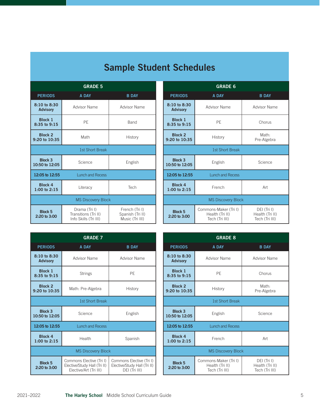| <b>GRADE 5</b>                      |                                                                |                                                       |  |  |
|-------------------------------------|----------------------------------------------------------------|-------------------------------------------------------|--|--|
| <b>PERIODS</b>                      | A DAY                                                          | <b>B DAY</b>                                          |  |  |
| 8:10 to 8:30<br><b>Advisory</b>     | Advisor Name                                                   | Advisor Name                                          |  |  |
| <b>Block 1</b><br>8:35 to 9:15      | PE                                                             | Band                                                  |  |  |
| Block <sub>2</sub><br>9:20 to 10:35 | Math<br>History                                                |                                                       |  |  |
|                                     | <b>1st Short Break</b>                                         |                                                       |  |  |
| <b>Block 3</b><br>10:50 to 12:05    | Science                                                        | English                                               |  |  |
| 12:05 to 12:55                      | <b>Lunch and Recess</b>                                        |                                                       |  |  |
| Block 4<br>$1:00$ to $2:15$         | Literacy                                                       | Tech                                                  |  |  |
| <b>MS Discovery Block</b>           |                                                                |                                                       |  |  |
| <b>Block 5</b><br>2:20 to 3:00      | Drama (Tri I)<br>Transitions (Tri II)<br>Info Skills (Tri III) | French (Tri I)<br>Spanish (Tri II)<br>Music (Tri III) |  |  |

| <b>GRADE 6</b>                            |                                                            |                                                  |  |  |
|-------------------------------------------|------------------------------------------------------------|--------------------------------------------------|--|--|
| <b>PERIODS</b>                            | A DAY                                                      | <b>B DAY</b>                                     |  |  |
| 8:10 to 8:30<br><b>Advisory</b>           | Advisor Name                                               | <b>Advisor Name</b>                              |  |  |
| <b>Block 1</b><br>8:35 to 9:15            | PE                                                         | Chorus                                           |  |  |
| Block <sub>2</sub><br>9:20 to 10:35       | Math:<br>History<br>Pre-Algebra                            |                                                  |  |  |
|                                           | 1st Short Break                                            |                                                  |  |  |
| Block 3<br>10:50 to 12:05                 | English                                                    | Science                                          |  |  |
| 12:05 to 12:55<br><b>Lunch and Recess</b> |                                                            |                                                  |  |  |
| Block 4<br>$1:00$ to $2:15$               | French<br>Art                                              |                                                  |  |  |
| <b>MS Discovery Block</b>                 |                                                            |                                                  |  |  |
| Block 5<br>2:20 to 3:00                   | Commons-Maker (Tri I)<br>Health (Tri II)<br>Tech (Tri III) | DEI (Tri I)<br>Health (Tri II)<br>Tech (Tri III) |  |  |

| <b>GRADE 7</b>                       |                                                                                    |                                                                           |  |  |
|--------------------------------------|------------------------------------------------------------------------------------|---------------------------------------------------------------------------|--|--|
| <b>PERIODS</b>                       | A DAY                                                                              | <b>B DAY</b>                                                              |  |  |
| $8:10$ to $8:30$<br><b>Advisory</b>  | Advisor Name                                                                       | Advisor Name                                                              |  |  |
| Block 1<br>8:35 to 9:15              | <b>Strings</b>                                                                     | PE                                                                        |  |  |
| Block <sub>2</sub><br>9:20 to 10:35  | Math: Pre-Algebra                                                                  | History                                                                   |  |  |
|                                      | 1st Short Break                                                                    |                                                                           |  |  |
| Block <sub>3</sub><br>10:50 to 12:05 | Science                                                                            | English                                                                   |  |  |
| 12:05 to 12:55                       | <b>Lunch and Recess</b>                                                            |                                                                           |  |  |
| <b>Block 4</b><br>$1:00$ to $2:15$   | Health                                                                             | Spanish                                                                   |  |  |
| <b>MS Discovery Block</b>            |                                                                                    |                                                                           |  |  |
| Block 5<br>2:20 to 3:00              | Commons Elective (Tri I)<br>Elective/Study Hall (Tri II)<br>Elective/Art (Tri III) | Commons Elective (Tri I)<br>Elective/Study Hall (Tri II)<br>DEI (Tri III) |  |  |

| <b>GRADE 8</b>                            |                                                            |                                                  |  |  |
|-------------------------------------------|------------------------------------------------------------|--------------------------------------------------|--|--|
| <b>PERIODS</b>                            | A DAY                                                      | <b>B DAY</b>                                     |  |  |
| 8:10 to 8:30<br><b>Advisory</b>           | <b>Advisor Name</b>                                        | <b>Advisor Name</b>                              |  |  |
| <b>Block 1</b><br>8:35 to 9:15            | PF                                                         | Chorus                                           |  |  |
| Block <sub>2</sub><br>9:20 to 10:35       | Math:<br>History<br>Pre-Algebra                            |                                                  |  |  |
| 1st Short Break                           |                                                            |                                                  |  |  |
| <b>Block 3</b><br>10:50 to 12:05          | Science<br>English                                         |                                                  |  |  |
| 12:05 to 12:55<br><b>Lunch and Recess</b> |                                                            |                                                  |  |  |
| Block 4<br>1:00 to 2:15                   | French                                                     | Art                                              |  |  |
| <b>MS Discovery Block</b>                 |                                                            |                                                  |  |  |
| <b>Block 5</b><br>2:20 to 3:00            | Commons-Maker (Tri I)<br>Health (Tri II)<br>Tech (Tri III) | DEI (Tri I)<br>Health (Tri II)<br>Tech (Tri III) |  |  |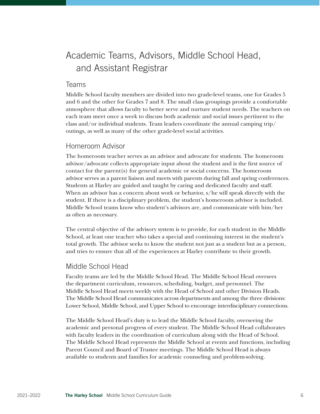# Academic Teams, Advisors, Middle School Head, and Assistant Registrar

### Teams

Middle School faculty members are divided into two grade-level teams, one for Grades 5 and 6 and the other for Grades 7 and 8. The small class groupings provide a comfortable atmosphere that allows faculty to better serve and nurture student needs. The teachers on each team meet once a week to discuss both academic and social issues pertinent to the class and/or individual students. Team leaders coordinate the annual camping trip/ outings, as well as many of the other grade-level social activities.

# Homeroom Advisor

The homeroom teacher serves as an advisor and advocate for students. The homeroom advisor/advocate collects appropriate input about the student and is the first source of contact for the parent(s) for general academic or social concerns. The homeroom advisor serves as a parent liaison and meets with parents during fall and spring conferences. Students at Harley are guided and taught by caring and dedicated faculty and staff. When an advisor has a concern about work or behavior, s/he will speak directly with the student. If there is a disciplinary problem, the student's homeroom advisor is included. Middle School teams know who student's advisors are, and communicate with him/her as often as necessary.

The central objective of the advisory system is to provide, for each student in the Middle School, at least one teacher who takes a special and continuing interest in the student's total growth. The advisor seeks to know the student not just as a student but as a person, and tries to ensure that all of the experiences at Harley contribute to their growth.

# Middle School Head

Faculty teams are led by the Middle School Head. The Middle School Head oversees the department curriculum, resources, scheduling, budget, and personnel. The Middle School Head meets weekly with the Head of School and other Division Heads. The Middle School Head communicates across departments and among the three divisions: Lower School, Middle School, and Upper School to encourage interdisciplinary connections.

The Middle School Head's duty is to lead the Middle School faculty, overseeing the academic and personal progress of every student. The Middle School Head collaborates with faculty leaders in the coordination of curriculum along with the Head of School. The Middle School Head represents the Middle School at events and functions, including Parent Council and Board of Trustee meetings. The Middle School Head is always available to students and families for academic counseling and problem-solving.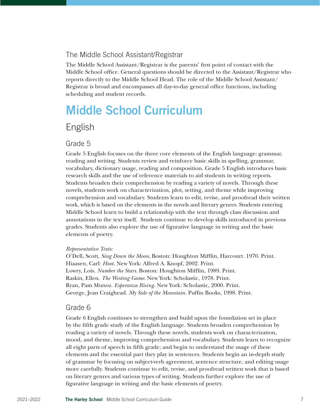# The Middle School Assistant/Registrar

The Middle School Assistant/Registrar is the parents' first point of contact with the Middle School office. General questions should be directed to the Assistant/Registrar who reports directly to the Middle School Head. The role of the Middle School Assistant/ Registrar is broad and encompasses all day-to-day general office functions, including scheduling and student records.

# Middle School Curriculum

# English

### Grade 5

Grade 5 English focuses on the three core elements of the English language: grammar, reading and writing. Students review and reinforce basic skills in spelling, grammar, vocabulary, dictionary usage, reading and composition. Grade 5 English introduces basic research skills and the use of reference materials to aid students in writing reports. Students broaden their comprehension by reading a variety of novels. Through these novels, students work on characterization, plot, setting, and theme while improving comprehension and vocabulary. Students learn to edit, revise, and proofread their written work, which is based on the elements in the novels and literary genres. Students entering Middle School learn to build a relationship with the text through class discussion and annotations in the text itself. Students continue to develop skills introduced in previous grades. Students also explore the use of figurative language in writing and the basic elements of poetry.

#### *Representative Texts:*

O'Dell, Scott, *Sing Down the Moon*, Boston: Houghton Mifflin, Harcourt. 1970. Print. Hiaasen, Carl: *Hoot.* New York: Alfred A. Knopf, 2002. Print. Lowry, Lois. *Number the Stars*. Boston: Houghton Mifflin, 1989. Print. Raskin, Ellen. *The Westing Game*. New York: Scholastic, 1978. Print. Ryan, Pam Munoz. *Esperanza Rising*. New York: Scholastic, 2000. Print. George, Jean Craighead. *My Side of the Mountain*. Puffin Books, 1998. Print.

### Grade 6

Grade 6 English continues to strengthen and build upon the foundation set in place by the fifth grade study of the English language. Students broaden comprehension by reading a variety of novels. Through these novels, students work on characterization, mood, and theme, improving comprehension and vocabulary. Students learn to recognize all eight parts of speech in fifth grade; and begin to understand the usage of these elements and the essential part they play in sentences. Students begin an in-depth study of grammar by focusing on subject-verb agreement, sentence structure, and editing usage more carefully. Students continue to edit, revise, and proofread written work that is based on literary genres and various types of writing. Students further explore the use of figurative language in writing and the basic elements of poetry.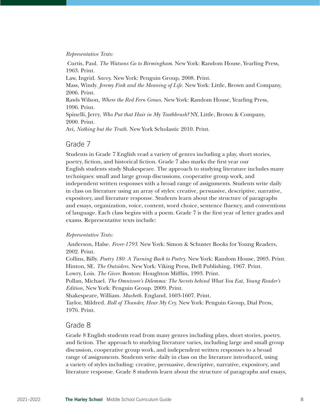#### *Representative Texts:*

Curtis, Paul. *The Watsons Go to Birmingham*. New York: Random House, Yearling Press, 1963. Print. Law, Ingrid. *Savvy.* New York: Penguin Group, 2008. Print. Mass, Windy. *Jeremy Fink and the Meaning of Life.* New York: Little, Brown and Company, 2006. Print. Rawls Wilson, *Where the Red Fern Grows.* New York: Random House, Yearling Press, 1996. Print.

Spinelli, Jerry, *Who Put that Hair in My Toothbrush?* NY, Little, Brown & Company, 2000. Print.

Avi, *Nothing but the Truth.* New York Scholastic 2010. Print.

#### Grade 7

Students in Grade 7 English read a variety of genres including a play, short stories, poetry, fiction, and historical fiction. Grade 7 also marks the first year our English students study Shakespeare. The approach to studying literature includes many techniques: small and large group discussions, cooperative group work, and independent written responses with a broad range of assignments. Students write daily in class on literature using an array of styles: creative, persuasive, descriptive, narrative, expository, and literature response. Students learn about the structure of paragraphs and essays, organization, voice, content, word choice, sentence fluency, and conventions of language. Each class begins with a poem. Grade 7 is the first year of letter grades and exams. Representative texts include:

#### *Representative Texts:*

Anderson, Halse. *Fever-1793*. New York: Simon & Schuster Books for Young Readers, 2002. Print.

Collins, Billy. *Poetry 180: A Turning Back to Poetry.* New York: Random House, 2003. Print. Hinton, SE. *The Outsiders.* New York: Viking Press, Dell Publishing, 1967. Print. Lowry, Lois. *The Giver.* Boston: Houghton Mifflin, 1993. Print.

Pollan, Michael. *The Omnivore's Dilemma: The Secrets behind What You Eat, Young Reader's Edition,* New York: Penguin Group. 2009. Print.

Shakespeare, William. *Macbeth.* England, 1603-1607. Print.

Taylor, Mildred. *Roll of Thunder, Hear My Cry.* New York: Penguin Group, Dial Press, 1976. Print.

### Grade 8

Grade 8 English students read from many genres including plays, short stories, poetry, and fiction. The approach to studying literature varies, including large and small group discussion, cooperative group work, and independent written responses to a broad range of assignments. Students write daily in class on the literature introduced, using a variety of styles including: creative, persuasive, descriptive, narrative, expository, and literature response. Grade 8 students learn about the structure of paragraphs and essays,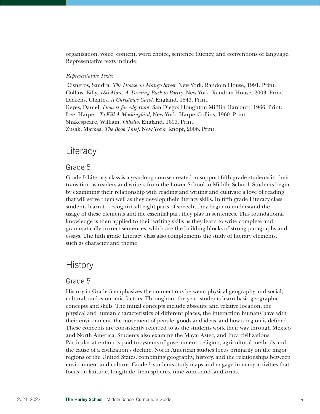organization, voice, content, word choice, sentence fluency, and conventions of language. Representative texts include:

#### *Representative Texts:*

Cisneros, Sandra. *The House on Mango Street.* New York. Random House, 1991. Print. Collins, Billy. *180 More: A Turning Back to Poetry.* New York: Random House, 2003. Print. Dickens, Charles. *A Christmas Carol.* England, 1843. Print. Keyes, Daniel. *Flowers for Algernon.* San Diego: Houghton Mifflin Harcourt, 1966. Print. Lee, Harper. *To Kill A Mockingbird,* New York: HarperCollins, 1960. Print. Shakespeare, William. *Othello.* England, 1603. Print. Zusak, Markas. *The Book Thief.* New York: Knopf, 2006. Print.

# **Literacy**

# Grade 5

Grade 5 Literacy class is a year-long course created to support fifth grade students in their transition as readers and writers from the Lower School to Middle School. Students begin by examining their relationship with reading and writing and cultivate a love of reading that will serve them well as they develop their literacy skills. In fifth grade Literacy class students learn to recognize all eight parts of speech; they begin to understand the usage of these elements and the essential part they play in sentences. This foundational knowledge is then applied to their writing skills as they learn to write complete and grammatically correct sentences, which are the building blocks of strong paragraphs and essays. The fifth grade Literacy class also complements the study of literary elements, such as character and theme.

# **History**

### Grade 5

History in Grade 5 emphasizes the connections between physical geography and social, cultural, and economic factors. Throughout the year, students learn basic geographic concepts and skills. The initial concepts include absolute and relative location, the physical and human characteristics of different places, the interaction humans have with their environment, the movement of people, goods and ideas, and how a region is defined. These concepts are consistently referred to as the students work their way through Mexico and North America. Students also examine the Maya, Aztec, and Inca civilizations. Particular attention is paid to systems of government, religion, agricultural methods and the cause of a civilization's decline. North American studies focus primarily on the major regions of the United States, combining geography, history, and the relationships between environment and culture. Grade 5 students study maps and engage in many activities that focus on latitude, longitude, hemispheres, time zones and landforms.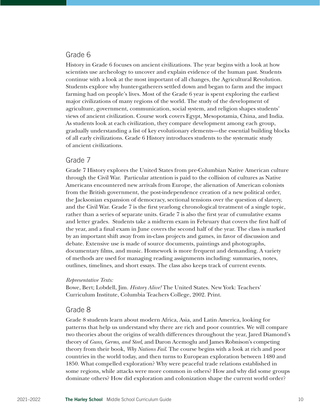### Grade 6

History in Grade 6 focuses on ancient civilizations. The year begins with a look at how scientists use archeology to uncover and explain evidence of the human past. Students continue with a look at the most important of all changes, the Agricultural Revolution. Students explore why hunter-gatherers settled down and began to farm and the impact farming had on people's lives. Most of the Grade 6 year is spent exploring the earliest major civilizations of many regions of the world. The study of the development of agriculture, government, communication, social system, and religion shapes students' views of ancient civilization. Course work covers Egypt, Mesopotamia, China, and India. As students look at each civilization, they compare development among each group, gradually understanding a list of key evolutionary elements—the essential building blocks of all early civilizations. Grade 6 History introduces students to the systematic study of ancient civilizations.

### Grade 7

Grade 7 History explores the United States from pre-Columbian Native American culture through the Civil War. Particular attention is paid to the collision of cultures as Native Americans encountered new arrivals from Europe, the alienation of American colonists from the British government, the post-independence creation of a new political order, the Jacksonian expansion of democracy, sectional tensions over the question of slavery, and the Civil War. Grade 7 is the first yearlong chronological treatment of a single topic, rather than a series of separate units. Grade 7 is also the first year of cumulative exams and letter grades. Students take a midterm exam in February that covers the first half of the year, and a final exam in June covers the second half of the year. The class is marked by an important shift away from in-class projects and games, in favor of discussion and debate. Extensive use is made of source documents, paintings and photographs, documentary films, and music. Homework is more frequent and demanding. A variety of methods are used for managing reading assignments including: summaries, notes, outlines, timelines, and short essays. The class also keeps track of current events.

#### *Representative Texts:*

Bowe, Bert; Lobdell, Jim. *History Alive!* The United States. New York: Teachers' Curriculum Institute, Columbia Teachers College, 2002. Print.

### Grade 8

Grade 8 students learn about modern Africa, Asia, and Latin America, looking for patterns that help us understand why there are rich and poor countries. We will compare two theories about the origins of wealth differences throughout the year, Jared Diamond's theory of *Guns, Germs, and Steel*, and Daron Acemoglu and James Robnison's competing theory from their book, *Why Nations Fail*. The course begins with a look at rich and poor countries in the world today, and then turns to European exploration between 1480 and 1850. What compelled exploration? Why were peaceful trade relations established in some regions, while attacks were more common in others? How and why did some groups dominate others? How did exploration and colonization shape the current world order?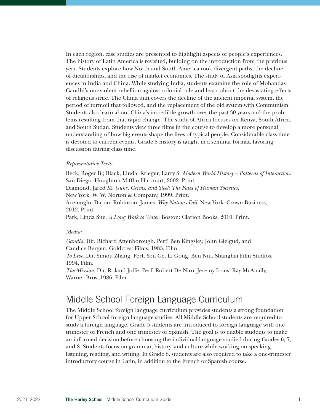In each region, case studies are presented to highlight aspects of people's experiences. The history of Latin America is revisited, building on the introduction from the previous year. Students explore how North and South America took divergent paths, the decline of dictatorships, and the rise of market economies. The study of Asia spotlights experiences in India and China. While studying India, students examine the role of Mohandas Gandhi's nonviolent rebellion against colonial rule and learn about the devastating effects of religious strife. The China unit covers the decline of the ancient imperial system, the period of turmoil that followed, and the replacement of the old system with Communism. Students also learn about China's incredible growth over the past 30 years and the problems resulting from that rapid change. The study of Africa focuses on Kenya, South Africa, and South Sudan. Students view three films in the course to develop a more personal understanding of how big events shape the lives of typical people. Considerable class time is devoted to current events. Grade 8 history is taught in a seminar format, favoring discussion during class time.

#### *Representative Texts:*

Beck, Roger B.; Black, Linda; Krieger, Larry S. *Modern World History – Patterns of Interaction.*  San Diego: Houghton Mifflin Harcourt, 2002. Print. Diamond, Jared M. *Guns, Germs, and Steel: The Fates of Human Societies.*  New York: W. W. Norton & Company, 1999. Print. Acemoglu, Daron; Robinson, James. *Why Nations Fail*. New York: Crown Business, 2012. Print. Park, Linda Sue. *A Long Walk to Water.* Boston: Clarion Books, 2010. Print.

#### *Media:*

*Gandhi.* Dir. Richard Attenborough. Perf: Ben Kingsley, John Gielgud, and Candice Bergen. Goldcrest Films, 1983, Film.

*To Live.* Dir. Yimou Zhang. Perf. You Ge, Li Gong, Ben Niu. Shanghai Film Studios, 1994, Film.

*The Mission.* Dir. Roland Joffe. Perf. Robert De Niro, Jeremy Irons, Ray McAnally, Warner Bros.,1986, Film.

# Middle School Foreign Language Curriculum

The Middle School foreign language curriculum provides students a strong foundation for Upper School foreign language studies. All Middle School students are required to study a foreign language. Grade 5 students are introduced to foreign language with one trimester of French and one trimester of Spanish. The goal is to enable students to make an informed decision before choosing the individual language studied during Grades 6, 7, and 8. Students focus on grammar, history, and culture while working on speaking, listening, reading, and writing. In Grade 8, students are also required to take a one-trimester introductory course in Latin, in addition to the French or Spanish course.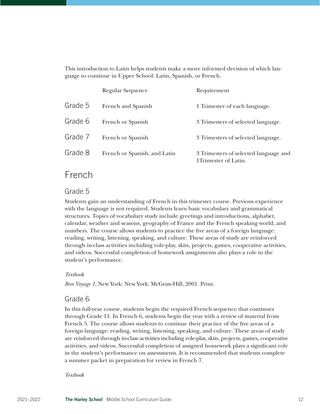This introduction to Latin helps students make a more informed decision of which language to continue in Upper School: Latin, Spanish, or French.

|         | Regular Sequence             | Requirement                                                    |
|---------|------------------------------|----------------------------------------------------------------|
| Grade 5 | French and Spanish           | 1 Trimester of each language.                                  |
| Grade 6 | French or Spanish            | 3 Trimesters of selected language.                             |
| Grade 7 | French or Spanish            | 3 Trimesters of selected language.                             |
| Grade 8 | French or Spanish, and Latin | 3 Trimesters of selected language and<br>1 Trimester of Latin. |

# French

# Grade 5

Students gain an understanding of French in this trimester course. Previous experience with the language is not required. Students learn basic vocabulary and grammatical structures. Topics of vocabulary study include greetings and introductions, alphabet, calendar, weather and seasons, geography of France and the French speaking world, and numbers. The course allows students to practice the five areas of a foreign language: reading, writing, listening, speaking, and culture. These areas of study are reinforced through in-class activities including role-play, skits, projects, games, cooperative activities, and videos. Successful completion of homework assignments also plays a role in the student's performance.

#### *Textbook*

*Bon Voyage 1*, New York: New York: McGraw-Hill, 2001. Print.

### Grade 6

In this full-year course, students begin the required French sequence that continues through Grade 11. In French 6, students begin the year with a review of material from French 5. The course allows students to continue their practice of the five areas of a foreign language: reading, writing, listening, speaking, and culture. These areas of study are reinforced through in-class activities including role-play, skits, projects, games, cooperative activities, and videos. Successful completion of assigned homework plays a significant role in the student's performance on assessments. It is recommended that students complete a summer packet in preparation for review in French 7.

#### *Textbook*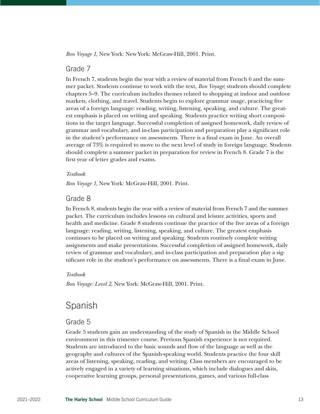*Bon Voyage 1*, New York: New York: McGraw-Hill, 2001. Print.

### Grade 7

In French 7, students begin the year with a review of material from French 6 and the summer packet. Students continue to work with the text, *Bon Voyage*; students should complete chapters 5–9. The curriculum includes themes related to shopping at indoor and outdoor markets, clothing, and travel. Students begin to explore grammar usage, practicing five areas of a foreign language: reading, writing, listening, speaking, and culture. The greatest emphasis is placed on writing and speaking. Students practice writing short compositions in the target language. Successful completion of assigned homework, daily review of grammar and vocabulary, and in-class participation and preparation play a significant role in the student's performance on assessments. There is a final exam in June. An overall average of 73% is required to move to the next level of study in foreign language. Students should complete a summer packet in preparation for review in French 8. Grade 7 is the first year of letter grades and exams.

#### *Textbook*

*Bon Voyage 1*, New York: McGraw-Hill, 2001. Print.

### Grade 8

In French 8, students begin the year with a review of material from French 7 and the summer packet. The curriculum includes lessons on cultural and leisure activities, sports and health and medicine. Grade 8 students continue the practice of the five areas of a foreign language: reading, writing, listening, speaking, and culture. The greatest emphasis continues to be placed on writing and speaking. Students routinely complete writing assignments and make presentations. Successful completion of assigned homework, daily review of grammar and vocabulary, and in-class participation and preparation play a significant role in the student's performance on assessments. There is a final exam in June.

#### *Textbook*

*Bon Voyage: Level 2*, New York: McGraw-Hill, 2001. Print.

# Spanish

### Grade 5

Grade 5 students gain an understanding of the study of Spanish in the Middle School environment in this trimester course. Previous Spanish experience is not required. Students are introduced to the basic sounds and flow of the language as well as the geography and cultures of the Spanish-speaking world. Students practice the four skill areas of listening, speaking, reading, and writing. Class members are encouraged to be actively engaged in a variety of learning situations, which include dialogues and skits, cooperative learning groups, personal presentations, games, and various full-class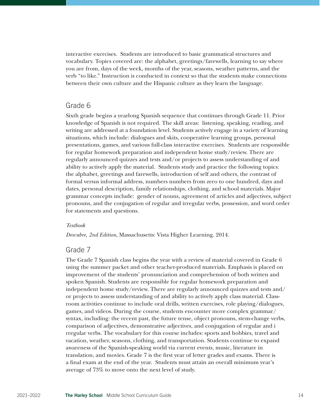interactive exercises. Students are introduced to basic grammatical structures and vocabulary. Topics covered are: the alphabet, greetings/farewells, learning to say where you are from, days of the week, months of the year, seasons, weather patterns, and the verb "to like." Instruction is conducted in context so that the students make connections between their own culture and the Hispanic culture as they learn the language.

# Grade 6

Sixth grade begins a yearlong Spanish sequence that continues through Grade 11. Prior knowledge of Spanish is not required. The skill areas: listening, speaking, reading, and writing are addressed at a foundation level. Students actively engage in a variety of learning situations, which include: dialogues and skits, cooperative learning groups, personal presentations, games, and various full-class interactive exercises. Students are responsible for regular homework preparation and independent home study/review. There are regularly announced quizzes and tests and/or projects to assess understanding of and ability to actively apply the material. Students study and practice the following topics: the alphabet, greetings and farewells, introduction of self and others, the contrast of formal versus informal address, numbers numbers from zero to one hundred, days and dates, personal description, family relationships, clothing, and school materials. Major grammar concepts include: gender of nouns, agreement of articles and adjectives, subject pronouns, and the conjugation of regular and irregular verbs, possession, and word order for statements and questions.

#### *Textbook*

*Descubre, 2nd Edition*, Massachusetts: Vista Higher Learning. 2014.

### Grade 7

The Grade 7 Spanish class begins the year with a review of material covered in Grade 6 using the summer packet and other teacher-produced materials. Emphasis is placed on improvement of the students' pronunciation and comprehension of both written and spoken Spanish. Students are responsible for regular homework preparation and independent home study/review. There are regularly announced quizzes and tests and/ or projects to assess understanding of and ability to actively apply class material. Classroom activities continue to include oral drills, written exercises, role playing/dialogues, games, and videos. During the course, students encounter more complex grammar/ syntax, including: the recent past, the future tense, object pronouns, stem-change verbs, comparison of adjectives, demonstrative adjectives, and conjugation of regular and i rregular verbs. The vocabulary for this course includes: sports and hobbies, travel and vacation, weather, seasons, clothing, and transportation. Students continue to expand awareness of the Spanish-speaking world via current events, music, literature in translation, and movies. Grade 7 is the first year of letter grades and exams. There is a final exam at the end of the year. Students must attain an overall minimum year's average of 73% to move onto the next level of study.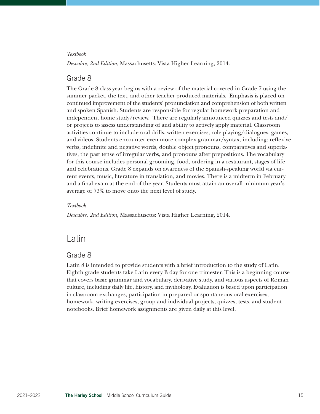#### *Textbook*

*Descubre, 2nd Edition*, Massachusetts: Vista Higher Learning, 2014.

### Grade 8

The Grade 8 class year begins with a review of the material covered in Grade 7 using the summer packet, the text, and other teacher-produced materials. Emphasis is placed on continued improvement of the students' pronunciation and comprehension of both written and spoken Spanish. Students are responsible for regular homework preparation and independent home study/review. There are regularly announced quizzes and tests and/ or projects to assess understanding of and ability to actively apply material. Classroom activities continue to include oral drills, written exercises, role playing/dialogues, games, and videos. Students encounter even more complex grammar/syntax, including: reflexive verbs, indefinite and negative words, double object pronouns, comparatives and superlatives, the past tense of irregular verbs, and pronouns after prepositions. The vocabulary for this course includes personal grooming, food, ordering in a restaurant, stages of life and celebrations. Grade 8 expands on awareness of the Spanish-speaking world via current events, music, literature in translation, and movies. There is a midterm in February and a final exam at the end of the year. Students must attain an overall minimum year's average of 73% to move onto the next level of study.

#### *Textbook*

*Descubre, 2nd Edition,* Massachusetts: Vista Higher Learning, 2014.

# Latin

### Grade 8

Latin 8 is intended to provide students with a brief introduction to the study of Latin. Eighth grade students take Latin every B day for one trimester. This is a beginning course that covers basic grammar and vocabulary, derivative study, and various aspects of Roman culture, including daily life, history, and mythology. Evaluation is based upon participation in classroom exchanges, participation in prepared or spontaneous oral exercises, homework, writing exercises, group and individual projects, quizzes, tests, and student notebooks. Brief homework assignments are given daily at this level.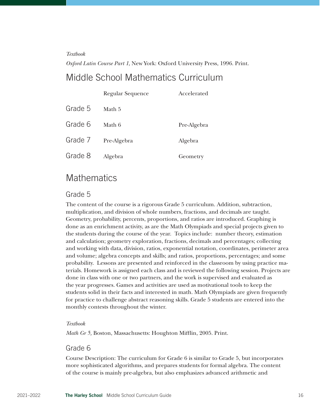#### *Textbook*

*Oxford Latin Course Part 1*, New York: Oxford University Press, 1996. Print.

# Middle School Mathematics Curriculum

|         | <b>Regular Sequence</b> | Accelerated |
|---------|-------------------------|-------------|
| Grade 5 | Math 5                  |             |
| Grade 6 | Math 6                  | Pre-Algebra |
| Grade 7 | Pre-Algebra             | Algebra     |
| Grade 8 | Algebra                 | Geometry    |

# **Mathematics**

### Grade 5

The content of the course is a rigorous Grade 5 curriculum. Addition, subtraction, multiplication, and division of whole numbers, fractions, and decimals are taught. Geometry, probability, percents, proportions, and ratios are introduced. Graphing is done as an enrichment activity, as are the Math Olympiads and special projects given to the students during the course of the year. Topics include: number theory, estimation and calculation; geometry exploration, fractions, decimals and percentages; collecting and working with data, division, ratios, exponential notation, coordinates, perimeter area and volume; algebra concepts and skills; and ratios, proportions, percentages; and some probability. Lessons are presented and reinforced in the classroom by using practice materials. Homework is assigned each class and is reviewed the following session. Projects are done in class with one or two partners, and the work is supervised and evaluated as the year progresses. Games and activities are used as motivational tools to keep the students solid in their facts and interested in math. Math Olympiads are given frequently for practice to challenge abstract reasoning skills. Grade 5 students are entered into the monthly contests throughout the winter.

#### *Textbook*

*Math Gr 5,* Boston, Massachusetts: Houghton Mifflin, 2005. Print.

### Grade 6

Course Description: The curriculum for Grade 6 is similar to Grade 5, but incorporates more sophisticated algorithms, and prepares students for formal algebra. The content of the course is mainly pre-algebra, but also emphasizes advanced arithmetic and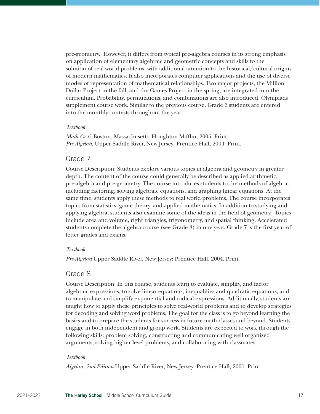pre-geometry. However, it differs from typical pre-algebra courses in its strong emphasis on application of elementary algebraic and geometric concepts and skills to the solution of real-world problems, with additional attention to the historical/cultural origins of modern mathematics. It also incorporates computer applications and the use of diverse modes of representation of mathematical relationships. Two major projects, the Million Dollar Project in the fall, and the Games Project in the spring, are integrated into the curriculum. Probability, permutations, and combinations are also introduced. Olympiads supplement course work. Similar to the previous course, Grade 6 students are entered into the monthly contests throughout the year.

#### *Textbook*

*Math Gr 6,* Boston, Massachusetts: Houghton Mifflin, 2005. Print. *Pre-Algebra*, Upper Saddle River, New Jersey: Prentice Hall, 2004. Print.

### Grade 7

Course Description: Students explore various topics in algebra and geometry in greater depth. The content of the course could generally be described as applied arithmetic, pre-algebra and pre-geometry. The course introduces students to the methods of algebra, including factoring, solving algebraic equations, and graphing linear equations. At the same time, students apply these methods to real world problems. The course incorporates topics from statistics, game theory, and applied mathematics. In addition to studying and applying algebra, students also examine some of the ideas in the field of geometry. Topics include area and volume, right triangles, trigonometry, and spatial thinking. Accelerated students complete the algebra course (see Grade 8) in one year. Grade 7 is the first year of letter grades and exams.

#### *Textbook*

*Pre-Algebra* Upper Saddle River, New Jersey: Prentice Hall, 2004. Print.

### Grade 8

Course Description: In this course, students learn to evaluate, simplify, and factor algebraic expressions, to solve linear equations, inequalities and quadratic equations, and to manipulate and simplify exponential and radical expressions. Additionally, students are taught how to apply these principles to solve real-world problems and to develop strategies for decoding and solving word problems. The goal for the class is to go beyond learning the basics and to prepare the students for success in future math classes and beyond. Students engage in both independent and group work. Students are expected to work through the following skills: problem solving, constructing and communicating well organized arguments, solving higher level problems, and collaborating with classmates.

#### *Textbook*

*Algebra, 2nd Edition* Upper Saddle River, New Jersey: Prentice Hall, 2001. Print.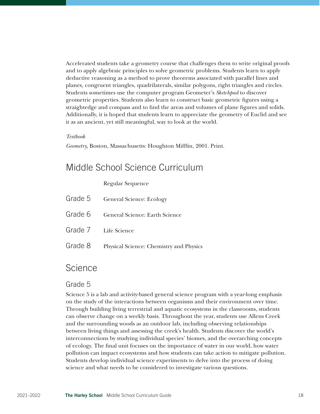Accelerated students take a geometry course that challenges them to write original proofs and to apply algebraic principles to solve geometric problems. Students learn to apply deductive reasoning as a method to prove theorems associated with parallel lines and planes, congruent triangles, quadrilaterals, similar polygons, right triangles and circles. Students sometimes use the computer program Geometer's *Sketchpad* to discover geometric properties. Students also learn to construct basic geometric figures using a straightedge and compass and to find the areas and volumes of plane figures and solids. Additionally, it is hoped that students learn to appreciate the geometry of Euclid and see it as an ancient, yet still meaningful, way to look at the world.

#### *Textbook*

*Geometry,* Boston, Massachusetts: Houghton Mifflin, 2001. Print.

# Middle School Science Curriculum

Regular Sequence

| Grade 5 General Science: Ecology                |
|-------------------------------------------------|
| Grade 6 General Science: Earth Science          |
| Grade 7 Life Science                            |
| Grade 8 Physical Science: Chemistry and Physics |

# **Science**

### Grade 5

Science 5 is a lab and activity-based general science program with a year-long emphasis on the study of the interactions between organisms and their environment over time. Through building living terrestrial and aquatic ecosystems in the classrooms, students can observe change on a weekly basis. Throughout the year, students use Allens Creek and the surrounding woods as an outdoor lab, including observing relationships between living things and assessing the creek's health. Students discover the world's interconnections by studying individual species' biomes, and the overarching concepts of ecology. The final unit focuses on the importance of water in our world, how water pollution can impact ecosystems and how students can take action to mitigate pollution. Students develop individual science experiments to delve into the process of doing science and what needs to be considered to investigate various questions.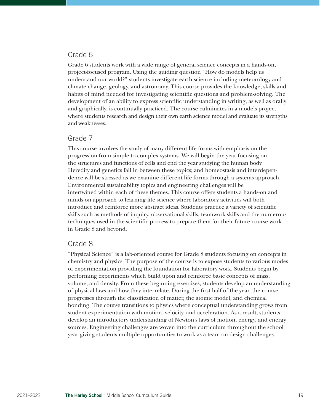# Grade 6

Grade 6 students work with a wide range of general science concepts in a hands-on, project-focused program. Using the guiding question "How do models help us understand our world?" students investigate earth science including meteorology and climate change, geology, and astronomy. This course provides the knowledge, skills and habits of mind needed for investigating scientific questions and problem-solving. The development of an ability to express scientific understanding in writing, as well as orally and graphically, is continually practiced. The course culminates in a models project where students research and design their own earth science model and evaluate its strengths and weaknesses.

### Grade 7

This course involves the study of many different life forms with emphasis on the progression from simple to complex systems. We will begin the year focusing on the structures and functions of cells and end the year studying the human body. Heredity and genetics fall in between these topics; and homeostasis and interdependence will be stressed as we examine different life forms through a systems approach. Environmental sustainability topics and engineering challenges will be intertwined within each of these themes. This course offers students a hands-on and minds-on approach to learning life science where laboratory activities will both introduce and reinforce more abstract ideas. Students practice a variety of scientific skills such as methods of inquiry, observational skills, teamwork skills and the numerous techniques used in the scientific process to prepare them for their future course work in Grade 8 and beyond.

### Grade 8

"Physical Science" is a lab-oriented course for Grade 8 students focusing on concepts in chemistry and physics. The purpose of the course is to expose students to various modes of experimentation providing the foundation for laboratory work. Students begin by performing experiments which build upon and reinforce basic concepts of mass, volume, and density. From these beginning exercises, students develop an understanding of physical laws and how they interrelate. During the first half of the year, the course progresses through the classification of matter, the atomic model, and chemical bonding. The course transitions to physics where conceptual understanding grows from student experimentation with motion, velocity, and acceleration. As a result, students develop an introductory understanding of Newton's laws of motion, energy, and energy sources. Engineering challenges are woven into the curriculum throughout the school year giving students multiple opportunities to work as a team on design challenges.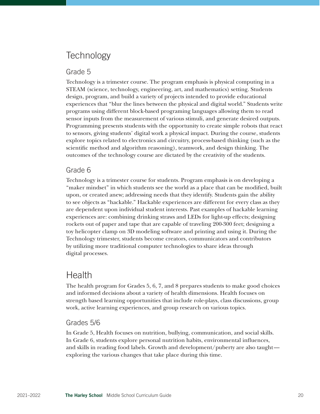# **Technology**

### Grade 5

Technology is a trimester course. The program emphasis is physical computing in a STEAM (science, technology, engineering, art, and mathematics) setting. Students design, program, and build a variety of projects intended to provide educational experiences that "blur the lines between the physical and digital world." Students write programs using different block-based programing languages allowing them to read sensor inputs from the measurement of various stimuli, and generate desired outputs. Programming presents students with the opportunity to create simple robots that react to sensors, giving students' digital work a physical impact. During the course, students explore topics related to electronics and circuitry, process-based thinking (such as the scientific method and algorithm reasoning), teamwork, and design thinking. The outcomes of the technology course are dictated by the creativity of the students.

# Grade 6

Technology is a trimester course for students. Program emphasis is on developing a "maker mindset" in which students see the world as a place that can be modified, built upon, or created anew; addressing needs that they identify. Students gain the ability to see objects as "hackable." Hackable experiences are different for every class as they are dependent upon individual student interests. Past examples of hackable learning experiences are: combining drinking straws and LEDs for light-up effects; designing rockets out of paper and tape that are capable of traveling 200-300 feet; designing a toy helicopter clamp on 3D modeling software and printing and using it. During the Technology trimester, students become creators, communicators and contributors by utilizing more traditional computer technologies to share ideas through digital processes.

# Health

The health program for Grades 5, 6, 7, and 8 prepares students to make good choices and informed decisions about a variety of health dimensions. Health focuses on strength based learning opportunities that include role-plays, class discussions, group work, active learning experiences, and group research on various topics.

# Grades 5/6

In Grade 5, Health focuses on nutrition, bullying, communication, and social skills. In Grade 6, students explore personal nutrition habits, environmental influences, and skills in reading food labels. Growth and development/puberty are also taught exploring the various changes that take place during this time.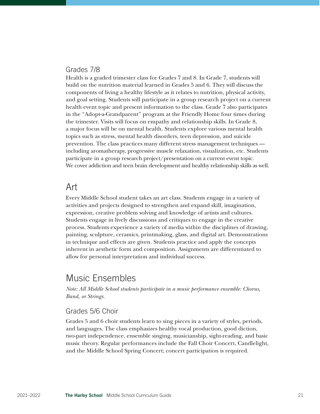# Grades 7/8

Health is a graded trimester class for Grades 7 and 8. In Grade 7, students will build on the nutrition material learned in Grades 5 and 6. They will discuss the components of living a healthy lifestyle as it relates to nutrition, physical activity, and goal setting. Students will participate in a group research project on a current health event topic and present information to the class. Grade 7 also participates in the "Adopt-a-Grandparent" program at the Friendly Home four times during the trimester. Visits will focus on empathy and relationship skills. In Grade 8, a major focus will be on mental health. Students explore various mental health topics such as stress, mental health disorders, teen depression, and suicide prevention. The class practices many different stress management techniques including aromatherapy, progressive muscle relaxation, visualization, etc. Students participate in a group research project/presentation on a current event topic. We cover addiction and teen brain development and healthy relationship skills as well.

# Art

Every Middle School student takes an art class. Students engage in a variety of activities and projects designed to strengthen and expand skill, imagination, expression, creative problem solving and knowledge of artists and cultures. Students engage in lively discussions and critiques to engage in the creative process. Students experience a variety of media within the disciplines of drawing, painting, sculpture, ceramics, printmaking, glass, and digital art. Demonstrations in technique and effects are given. Students practice and apply the concepts inherent in aesthetic form and composition. Assignments are differentiated to allow for personal interpretation and individual success.

# Music Ensembles

*Note: All Middle School students participate in a music performance ensemble: Chorus, Band, or Strings.*

### Grades 5/6 Choir

Grades 5 and 6 choir students learn to sing pieces in a variety of styles, periods, and languages. The class emphasizes healthy vocal production, good diction, two-part independence, ensemble singing, musicianship, sight-reading, and basic music theory. Regular performances include the Fall Choir Concert, Candlelight, and the Middle School Spring Concert; concert participation is required.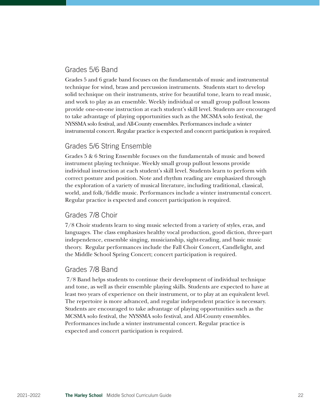# Grades 5/6 Band

Grades 5 and 6 grade band focuses on the fundamentals of music and instrumental technique for wind, brass and percussion instruments. Students start to develop solid technique on their instruments, strive for beautiful tone, learn to read music, and work to play as an ensemble. Weekly individual or small group pullout lessons provide one-on-one instruction at each student's skill level. Students are encouraged to take advantage of playing opportunities such as the MCSMA solo festival, the NYSSMA solo festival, and All-County ensembles. Performances include a winter instrumental concert. Regular practice is expected and concert participation is required.

# Grades 5/6 String Ensemble

Grades 5 & 6 String Ensemble focuses on the fundamentals of music and bowed instrument playing technique. Weekly small group pullout lessons provide individual instruction at each student's skill level. Students learn to perform with correct posture and position. Note and rhythm reading are emphasized through the exploration of a variety of musical literature, including traditional, classical, world, and folk/fiddle music. Performances include a winter instrumental concert. Regular practice is expected and concert participation is required.

# Grades 7/8 Choir

7/8 Choir students learn to sing music selected from a variety of styles, eras, and languages. The class emphasizes healthy vocal production, good diction, three-part independence, ensemble singing, musicianship, sight-reading, and basic music theory. Regular performances include the Fall Choir Concert, Candlelight, and the Middle School Spring Concert; concert participation is required.

# Grades 7/8 Band

 7/8 Band helps students to continue their development of individual technique and tone, as well as their ensemble playing skills. Students are expected to have at least two years of experience on their instrument, or to play at an equivalent level. The repertoire is more advanced, and regular independent practice is necessary. Students are encouraged to take advantage of playing opportunities such as the MCSMA solo festival, the NYSSMA solo festival, and All-County ensembles. Performances include a winter instrumental concert. Regular practice is expected and concert participation is required.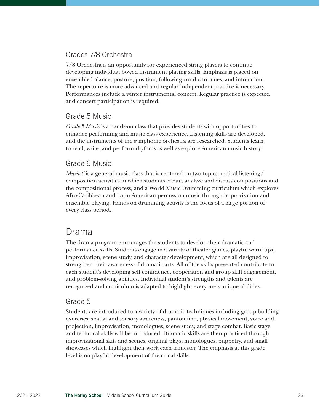# Grades 7/8 Orchestra

7/8 Orchestra is an opportunity for experienced string players to continue developing individual bowed instrument playing skills. Emphasis is placed on ensemble balance, posture, position, following conductor cues, and intonation. The repertoire is more advanced and regular independent practice is necessary. Performances include a winter instrumental concert. Regular practice is expected and concert participation is required.

# Grade 5 Music

*Grade 5 Music* is a hands-on class that provides students with opportunities to enhance performing and music class experience. Listening skills are developed, and the instruments of the symphonic orchestra are researched. Students learn to read, write, and perform rhythms as well as explore American music history.

# Grade 6 Music

*Music 6* is a general music class that is centered on two topics: critical listening/ composition activities in which students create, analyze and discuss compositions and the compositional process, and a World Music Drumming curriculum which explores Afro-Caribbean and Latin American percussion music through improvisation and ensemble playing. Hands-on drumming activity is the focus of a large portion of every class period.

# Drama

The drama program encourages the students to develop their dramatic and performance skills. Students engage in a variety of theater games, playful warm-ups, improvisation, scene study, and character development, which are all designed to strengthen their awareness of dramatic arts. All of the skills presented contribute to each student's developing self-confidence, cooperation and group-skill engagement, and problem-solving abilities. Individual student's strengths and talents are recognized and curriculum is adapted to highlight everyone's unique abilities.

# Grade 5

Students are introduced to a variety of dramatic techniques including group building exercises, spatial and sensory awareness, pantomime, physical movement, voice and projection, improvisation, monologues, scene study, and stage combat. Basic stage and technical skills will be introduced. Dramatic skills are then practiced through improvisational skits and scenes, original plays, monologues, puppetry, and small showcases which highlight their work each trimester. The emphasis at this grade level is on playful development of theatrical skills.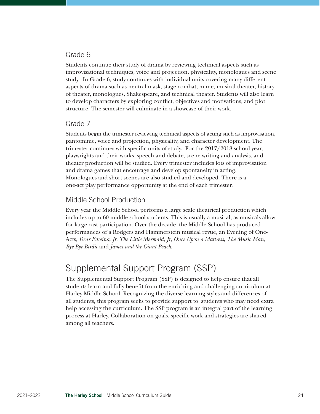# Grade 6

Students continue their study of drama by reviewing technical aspects such as improvisational techniques, voice and projection, physicality, monologues and scene study. In Grade 6, study continues with individual units covering many different aspects of drama such as neutral mask, stage combat, mime, musical theater, history of theater, monologues, Shakespeare, and technical theater. Students will also learn to develop characters by exploring conflict, objectives and motivations, and plot structure. The semester will culminate in a showcase of their work.

### Grade 7

Students begin the trimester reviewing technical aspects of acting such as improvisation, pantomime, voice and projection, physicality, and character development. The trimester continues with specific units of study. For the 2017/2018 school year, playwrights and their works, speech and debate, scene writing and analysis, and theater production will be studied. Every trimester includes lots of improvisation and drama games that encourage and develop spontaneity in acting. Monologues and short scenes are also studied and developed. There is a one-act play performance opportunity at the end of each trimester.

# Middle School Production

Every year the Middle School performs a large scale theatrical production which includes up to 60 middle school students. This is usually a musical, as musicals allow for large cast participation. Over the decade, the Middle School has produced performances of a Rodgers and Hammerstein musical revue, an Evening of One-Acts, *Dear Edwina, Jr*, *The Little Mermaid, Jr*, *Once Upon a Mattress*, *The Music Man*, *Bye Bye Birdie* and *James and the Giant Peach*.

# Supplemental Support Program (SSP)

The Supplemental Support Program (SSP) is designed to help ensure that all students learn and fully benefit from the enriching and challenging curriculum at Harley Middle School. Recognizing the diverse learning styles and differences of all students, this program seeks to provide support to students who may need extra help accessing the curriculum. The SSP program is an integral part of the learning process at Harley. Collaboration on goals, specific work and strategies are shared among all teachers.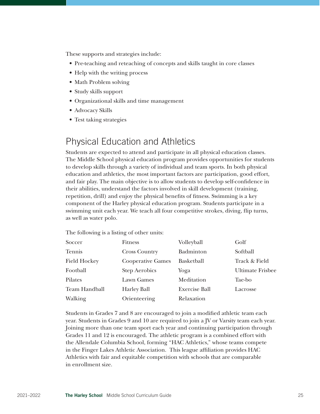These supports and strategies include:

- Pre-teaching and reteaching of concepts and skills taught in core classes
- Help with the writing process
- Math Problem solving
- Study skills support
- Organizational skills and time management
- Advocacy Skills
- Test taking strategies

# Physical Education and Athletics

Students are expected to attend and participate in all physical education classes. The Middle School physical education program provides opportunities for students to develop skills through a variety of individual and team sports. In both physical education and athletics, the most important factors are participation, good effort, and fair play. The main objective is to allow students to develop self-confidence in their abilities, understand the factors involved in skill development (training, repetition, drill) and enjoy the physical benefits of fitness. Swimming is a key component of the Harley physical education program. Students participate in a swimming unit each year. We teach all four competitive strokes, diving, flip turns, as well as water polo.

The following is a listing of other units:

| Soccer              | <b>Fitness</b>           | Volleyball           | Golf                    |
|---------------------|--------------------------|----------------------|-------------------------|
| Tennis              | <b>Cross Country</b>     | Badminton            | Softball                |
| <b>Field Hockey</b> | <b>Cooperative Games</b> | Basketball           | Track & Field           |
| Football            | <b>Step Aerobics</b>     | Yoga                 | <b>Ultimate Frisbee</b> |
| Pilates             | Lawn Games               | Meditation           | Tae-bo                  |
| Team Handball       | <b>Harley Ball</b>       | <b>Exercise Ball</b> | Lacrosse                |
| Walking             | Orienteering             | Relaxation           |                         |

Students in Grades 7 and 8 are encouraged to join a modified athletic team each year. Students in Grades 9 and 10 are required to join a JV or Varsity team each year. Joining more than one team sport each year and continuing participation through Grades 11 and 12 is encouraged. The athletic program is a combined effort with the Allendale Columbia School, forming "HAC Athletics," whose teams compete in the Finger Lakes Athletic Association. This league affiliation provides HAC Athletics with fair and equitable competition with schools that are comparable in enrollment size.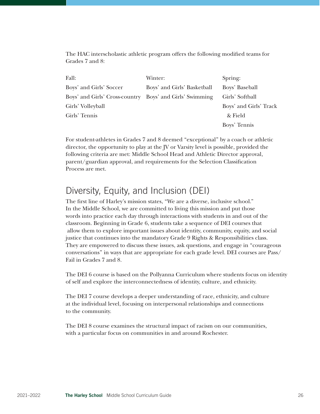The HAC interscholastic athletic program offers the following modified teams for Grades 7 and 8:

| Fall:                                                    | Winter:                     | Spring:                |
|----------------------------------------------------------|-----------------------------|------------------------|
| Boys' and Girls' Soccer                                  | Boys' and Girls' Basketball | Boys' Baseball         |
| Boys' and Girls' Cross-country Boys' and Girls' Swimming |                             | Girls' Softball        |
| Girls' Volleyball                                        |                             | Boys' and Girls' Track |
| Girls' Tennis                                            |                             | & Field                |
|                                                          |                             | Boys' Tennis           |

For student-athletes in Grades 7 and 8 deemed "exceptional" by a coach or athletic director, the opportunity to play at the JV or Varsity level is possible, provided the following criteria are met: Middle School Head and Athletic Director approval, parent/guardian approval, and requirements for the Selection Classification Process are met.

# Diversity, Equity, and Inclusion (DEI)

The first line of Harley's mission states, "We are a diverse, inclusive school." In the Middle School, we are committed to living this mission and put those words into practice each day through interactions with students in and out of the classroom. Beginning in Grade 6, students take a sequence of DEI courses that allow them to explore important issues about identity, community, equity, and social justice that continues into the mandatory Grade 9 Rights & Responsibilities class. They are empowered to discuss these issues, ask questions, and engage in "courageous conversations" in ways that are appropriate for each grade level. DEI courses are Pass/ Fail in Grades 7 and 8.

The DEI 6 course is based on the Pollyanna Curriculum where students focus on identity of self and explore the interconnectedness of identity, culture, and ethnicity.

The DEI 7 course develops a deeper understanding of race, ethnicity, and culture at the individual level, focusing on interpersonal relationships and connections to the community.

The DEI 8 course examines the structural impact of racism on our communities, with a particular focus on communities in and around Rochester.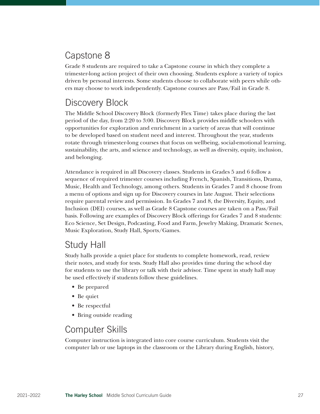# Capstone 8

Grade 8 students are required to take a Capstone course in which they complete a trimester-long action project of their own choosing. Students explore a variety of topics driven by personal interests. Some students choose to collaborate with peers while others may choose to work independently. Capstone courses are Pass/Fail in Grade 8.

# Discovery Block

The Middle School Discovery Block (formerly Flex Time) takes place during the last period of the day, from 2:20 to 3:00. Discovery Block provides middle schoolers with opportunities for exploration and enrichment in a variety of areas that will continue to be developed based on student need and interest. Throughout the year, students rotate through trimester-long courses that focus on wellbeing, social-emotional learning, sustainability, the arts, and science and technology, as well as diversity, equity, inclusion, and belonging.

Attendance is required in all Discovery classes. Students in Grades 5 and 6 follow a sequence of required trimester courses including French, Spanish, Transitions, Drama, Music, Health and Technology, among others. Students in Grades 7 and 8 choose from a menu of options and sign up for Discovery courses in late August. Their selections require parental review and permission. In Grades 7 and 8, the Diversity, Equity, and Inclusion (DEI) courses, as well as Grade 8 Capstone courses are taken on a Pass/Fail basis. Following are examples of Discovery Block offerings for Grades 7 and 8 students: Eco Science, Set Design, Podcasting, Food and Farm, Jewelry Making, Dramatic Scenes, Music Exploration, Study Hall, Sports/Games.

# Study Hall

Study halls provide a quiet place for students to complete homework, read, review their notes, and study for tests. Study Hall also provides time during the school day for students to use the library or talk with their advisor. Time spent in study hall may be used effectively if students follow these guidelines.

- Be prepared
- Be quiet
- Be respectful
- Bring outside reading

# Computer Skills

Computer instruction is integrated into core course curriculum. Students visit the computer lab or use laptops in the classroom or the Library during English, history,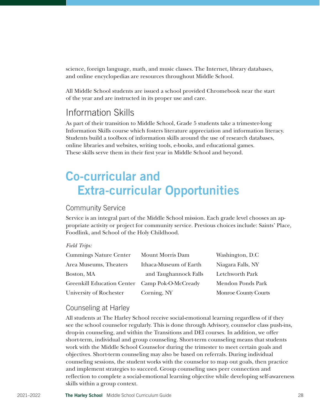science, foreign language, math, and music classes. The Internet, library databases, and online encyclopedias are resources throughout Middle School.

All Middle School students are issued a school provided Chromebook near the start of the year and are instructed in its proper use and care.

# Information Skills

As part of their transition to Middle School, Grade 5 students take a trimester-long Information Skills course which fosters literature appreciation and information literacy. Students build a toolbox of information skills around the use of research databases, online libraries and websites, writing tools, e-books, and educational games. These skills serve them in their first year in Middle School and beyond.

# Co-curricular and Extra-curricular Opportunities

# Community Service

Service is an integral part of the Middle School mission. Each grade level chooses an appropriate activity or project for community service. Previous choices include: Saints' Place, Foodlink, and School of the Holy Childhood.

#### *Field Trips:*

| <b>Cummings Nature Center</b>                  | Mount Morris Dam       | Washington, D.C.     |
|------------------------------------------------|------------------------|----------------------|
| Area Museums, Theaters                         | Ithaca-Museum of Earth | Niagara Falls, NY    |
| Boston, MA                                     | and Taughannock Falls  | Letchworth Park      |
| Greenkill Education Center Camp Pok-O-McCready |                        | Mendon Ponds Park    |
| University of Rochester                        | Corning, NY            | Monroe County Courts |

### Counseling at Harley

All students at The Harley School receive social-emotional learning regardless of if they see the school counselor regularly. This is done through Advisory, counselor class push-ins, drop-in counseling, and within the Transitions and DEI courses. In addition, we offer short-term, individual and group counseling. Short-term counseling means that students work with the Middle School Counselor during the trimester to meet certain goals and objectives. Short-term counseling may also be based on referrals. During individual counseling sessions, the student works with the counselor to map out goals, then practice and implement strategies to succeed. Group counseling uses peer connection and reflection to complete a social-emotional learning objective while developing self-awareness skills within a group context.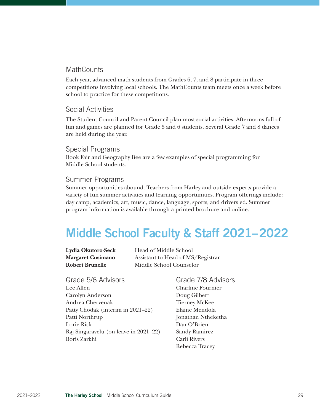### **MathCounts**

Each year, advanced math students from Grades 6, 7, and 8 participate in three competitions involving local schools. The MathCounts team meets once a week before school to practice for these competitions.

### Social Activities

The Student Council and Parent Council plan most social activities. Afternoons full of fun and games are planned for Grade 5 and 6 students. Several Grade 7 and 8 dances are held during the year.

Special Programs Book Fair and Geography Bee are a few examples of special programming for Middle School students.

# Summer Programs

Summer opportunities abound. Teachers from Harley and outside experts provide a variety of fun summer activities and learning opportunities. Program offerings include: day camp, academics, art, music, dance, language, sports, and drivers ed. Summer program information is available through a printed brochure and online.

# Middle School Faculty & Staff 2021–2022

| Lydia Okutoro-Seck       |
|--------------------------|
| <b>Margaret Cusimano</b> |
| <b>Robert Brunelle</b>   |

**Head of Middle School** Assistant to Head of MS/Registrar **Middle School Counselor** 

Grade 5/6 Advisors Lee Allen Carolyn Anderson Andrea Chervenak Patty Chodak (interim in 2021–22) Patti Northrup Lorie Rick Raj Singaravelu (on leave in 2021–22) Boris Zarkhi

### Grade 7/8 Advisors Charline Fournier Doug Gilbert Tierney McKee Elaine Mendola Jonathan Ntheketha Dan O'Brien Sandy Ramirez Carli Rivers Rebecca Tracey